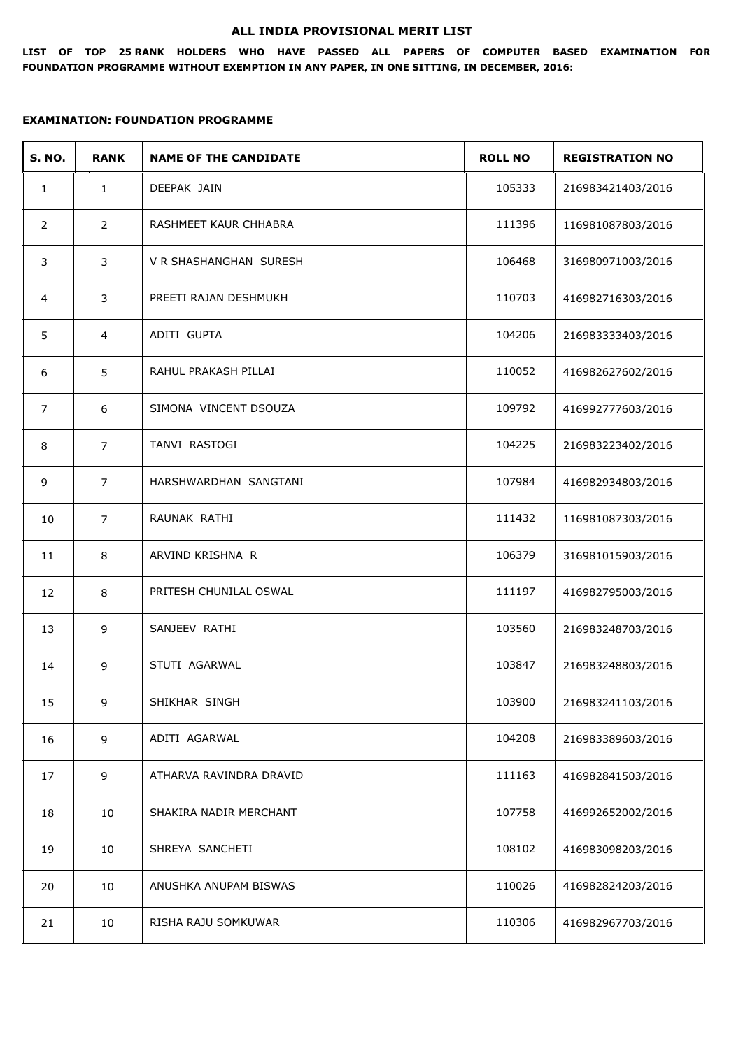#### **ALL INDIA PROVISIONAL MERIT LIST**

**LIST OF TOP 25 RANK HOLDERS WHO HAVE PASSED ALL PAPERS OF COMPUTER BASED EXAMINATION FOR FOUNDATION PROGRAMME WITHOUT EXEMPTION IN ANY PAPER, IN ONE SITTING, IN DECEMBER, 2016:**

| <b>S. NO.</b>  | <b>RANK</b>    | <b>NAME OF THE CANDIDATE</b> | <b>ROLL NO</b> | <b>REGISTRATION NO</b> |
|----------------|----------------|------------------------------|----------------|------------------------|
| $\mathbf{1}$   | $\mathbf{1}$   | DEEPAK JAIN                  | 105333         | 216983421403/2016      |
| 2              | $\overline{2}$ | RASHMEET KAUR CHHABRA        | 111396         | 116981087803/2016      |
| 3              | 3              | V R SHASHANGHAN SURESH       | 106468         | 316980971003/2016      |
| 4              | 3              | PREETI RAJAN DESHMUKH        | 110703         | 416982716303/2016      |
| 5              | $\overline{4}$ | ADITI GUPTA                  | 104206         | 216983333403/2016      |
| 6              | 5              | RAHUL PRAKASH PILLAI         | 110052         | 416982627602/2016      |
| $\overline{7}$ | 6              | SIMONA VINCENT DSOUZA        | 109792         | 416992777603/2016      |
| 8              | $\overline{7}$ | TANVI RASTOGI                | 104225         | 216983223402/2016      |
| 9              | $\overline{7}$ | HARSHWARDHAN SANGTANI        | 107984         | 416982934803/2016      |
| 10             | $\overline{7}$ | RAUNAK RATHI                 | 111432         | 116981087303/2016      |
| 11             | $\,8\,$        | ARVIND KRISHNA R             | 106379         | 316981015903/2016      |
| 12             | 8              | PRITESH CHUNILAL OSWAL       | 111197         | 416982795003/2016      |
| 13             | 9              | SANJEEV RATHI                | 103560         | 216983248703/2016      |
| 14             | 9              | STUTI AGARWAL                | 103847         | 216983248803/2016      |
| 15             | 9              | SHIKHAR SINGH                | 103900         | 216983241103/2016      |
| 16             | 9              | ADITI AGARWAL                | 104208         | 216983389603/2016      |
| 17             | 9              | ATHARVA RAVINDRA DRAVID      | 111163         | 416982841503/2016      |
| 18             | 10             | SHAKIRA NADIR MERCHANT       | 107758         | 416992652002/2016      |
| 19             | 10             | SHREYA SANCHETI              | 108102         | 416983098203/2016      |
| 20             | 10             | ANUSHKA ANUPAM BISWAS        | 110026         | 416982824203/2016      |
| 21             | 10             | RISHA RAJU SOMKUWAR          | 110306         | 416982967703/2016      |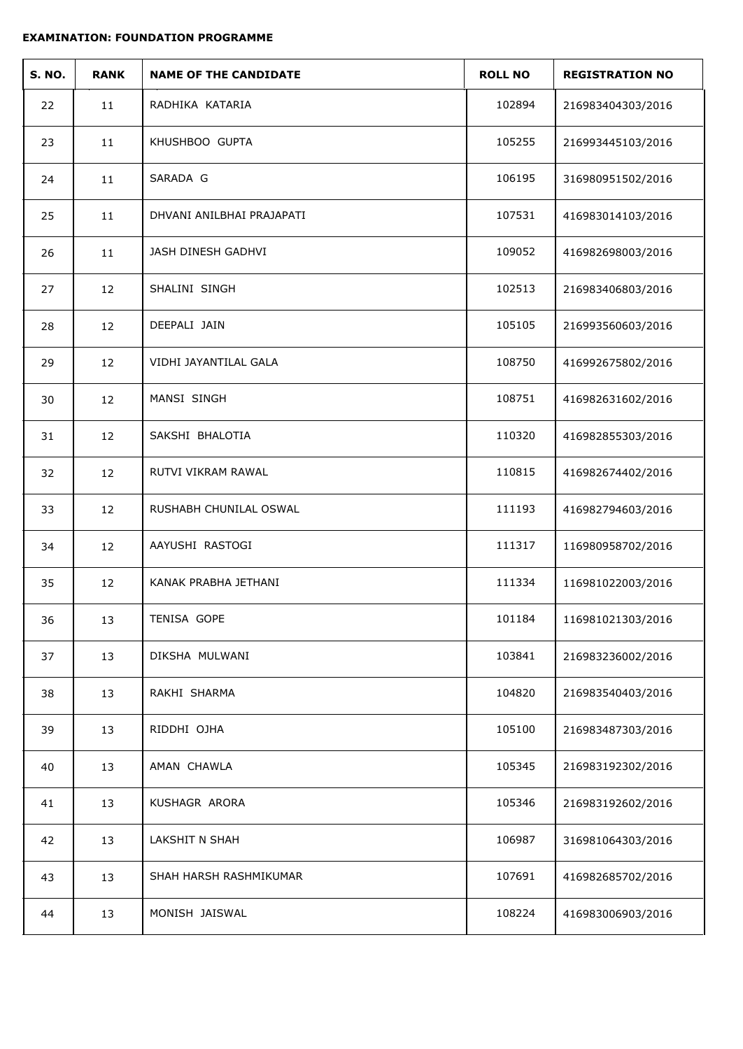| <b>S. NO.</b> | <b>RANK</b> | <b>NAME OF THE CANDIDATE</b> | <b>ROLL NO</b> | <b>REGISTRATION NO</b> |
|---------------|-------------|------------------------------|----------------|------------------------|
| 22            | 11          | RADHIKA KATARIA              | 102894         | 216983404303/2016      |
| 23            | 11          | KHUSHBOO GUPTA               | 105255         | 216993445103/2016      |
| 24            | 11          | SARADA G                     | 106195         | 316980951502/2016      |
| 25            | 11          | DHVANI ANILBHAI PRAJAPATI    | 107531         | 416983014103/2016      |
| 26            | 11          | JASH DINESH GADHVI           | 109052         | 416982698003/2016      |
| 27            | 12          | SHALINI SINGH                | 102513         | 216983406803/2016      |
| 28            | 12          | DEEPALI JAIN                 | 105105         | 216993560603/2016      |
| 29            | 12          | VIDHI JAYANTILAL GALA        | 108750         | 416992675802/2016      |
| 30            | 12          | MANSI SINGH                  | 108751         | 416982631602/2016      |
| 31            | 12          | SAKSHI BHALOTIA              | 110320         | 416982855303/2016      |
| 32            | 12          | RUTVI VIKRAM RAWAL           | 110815         | 416982674402/2016      |
| 33            | 12          | RUSHABH CHUNILAL OSWAL       | 111193         | 416982794603/2016      |
| 34            | 12          | AAYUSHI RASTOGI              | 111317         | 116980958702/2016      |
| 35            | 12          | KANAK PRABHA JETHANI         | 111334         | 116981022003/2016      |
| 36            | 13          | TENISA GOPE                  | 101184         | 116981021303/2016      |
| 37            | 13          | DIKSHA MULWANI               | 103841         | 216983236002/2016      |
| 38            | 13          | RAKHI SHARMA                 | 104820         | 216983540403/2016      |
| 39            | 13          | RIDDHI OJHA                  | 105100         | 216983487303/2016      |
| 40            | 13          | AMAN CHAWLA                  | 105345         | 216983192302/2016      |
| 41            | 13          | KUSHAGR ARORA                | 105346         | 216983192602/2016      |
| 42            | 13          | LAKSHIT N SHAH               | 106987         | 316981064303/2016      |
| 43            | 13          | SHAH HARSH RASHMIKUMAR       | 107691         | 416982685702/2016      |
| 44            | 13          | MONISH JAISWAL               | 108224         | 416983006903/2016      |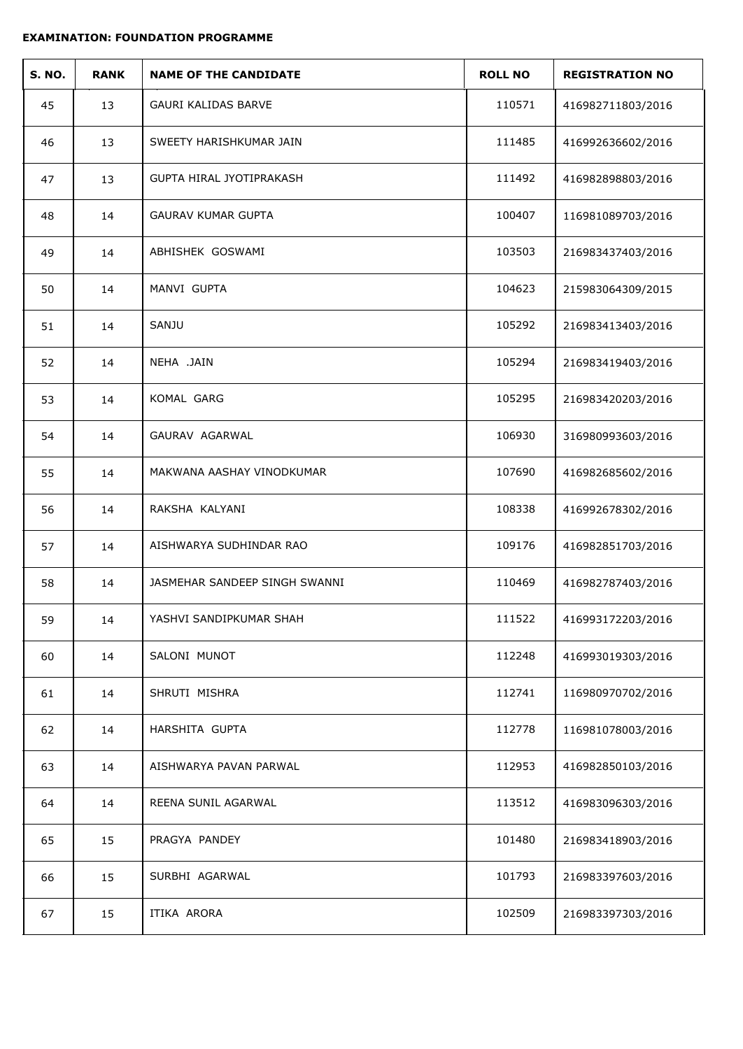| <b>S. NO.</b> | <b>RANK</b> | <b>NAME OF THE CANDIDATE</b>    | <b>ROLL NO</b> | <b>REGISTRATION NO</b> |
|---------------|-------------|---------------------------------|----------------|------------------------|
| 45            | 13          | <b>GAURI KALIDAS BARVE</b>      | 110571         | 416982711803/2016      |
| 46            | 13          | SWEETY HARISHKUMAR JAIN         | 111485         | 416992636602/2016      |
| 47            | 13          | <b>GUPTA HIRAL JYOTIPRAKASH</b> | 111492         | 416982898803/2016      |
| 48            | 14          | <b>GAURAV KUMAR GUPTA</b>       | 100407         | 116981089703/2016      |
| 49            | 14          | ABHISHEK GOSWAMI                | 103503         | 216983437403/2016      |
| 50            | 14          | MANVI GUPTA                     | 104623         | 215983064309/2015      |
| 51            | 14          | SANJU                           | 105292         | 216983413403/2016      |
| 52            | 14          | NEHA .JAIN                      | 105294         | 216983419403/2016      |
| 53            | 14          | KOMAL GARG                      | 105295         | 216983420203/2016      |
| 54            | 14          | GAURAV AGARWAL                  | 106930         | 316980993603/2016      |
| 55            | 14          | MAKWANA AASHAY VINODKUMAR       | 107690         | 416982685602/2016      |
| 56            | 14          | RAKSHA KALYANI                  | 108338         | 416992678302/2016      |
| 57            | 14          | AISHWARYA SUDHINDAR RAO         | 109176         | 416982851703/2016      |
| 58            | 14          | JASMEHAR SANDEEP SINGH SWANNI   | 110469         | 416982787403/2016      |
| 59            | 14          | YASHVI SANDIPKUMAR SHAH         | 111522         | 416993172203/2016      |
| 60            | 14          | SALONI MUNOT                    | 112248         | 416993019303/2016      |
| 61            | 14          | SHRUTI MISHRA                   | 112741         | 116980970702/2016      |
| 62            | 14          | HARSHITA GUPTA                  | 112778         | 116981078003/2016      |
| 63            | 14          | AISHWARYA PAVAN PARWAL          | 112953         | 416982850103/2016      |
| 64            | 14          | REENA SUNIL AGARWAL             | 113512         | 416983096303/2016      |
| 65            | 15          | PRAGYA PANDEY                   | 101480         | 216983418903/2016      |
| 66            | 15          | SURBHI AGARWAL                  | 101793         | 216983397603/2016      |
| 67            | 15          | ITIKA ARORA                     | 102509         | 216983397303/2016      |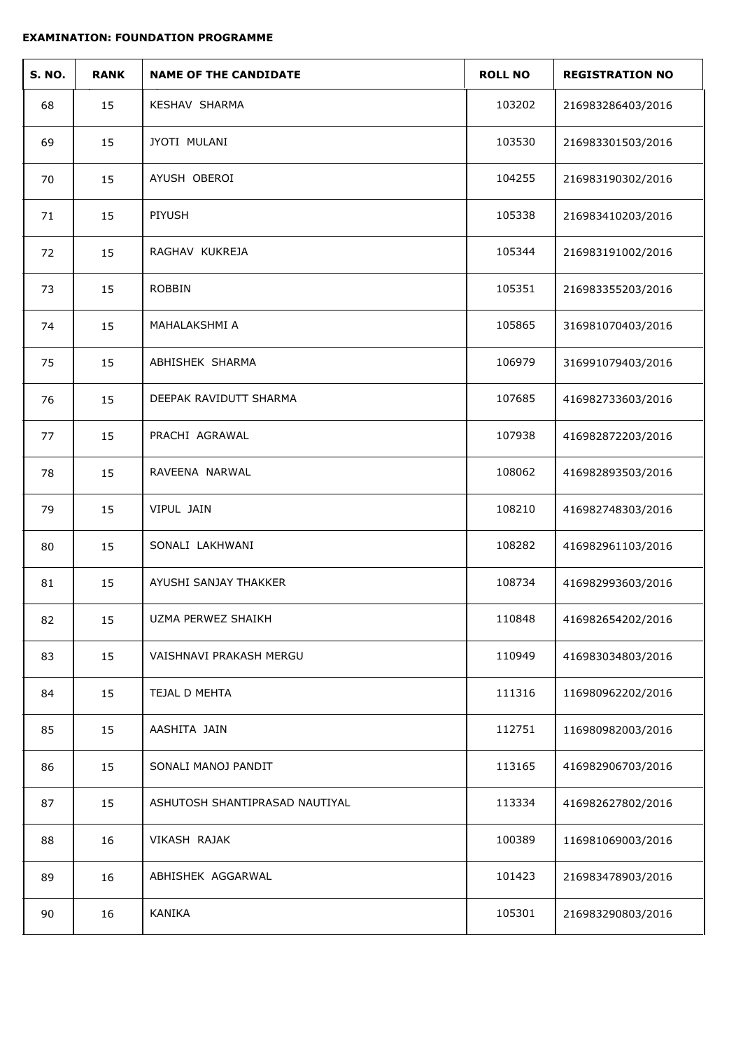| <b>S. NO.</b> | <b>RANK</b> | <b>NAME OF THE CANDIDATE</b>   | <b>ROLL NO</b> | <b>REGISTRATION NO</b> |
|---------------|-------------|--------------------------------|----------------|------------------------|
| 68            | 15          | KESHAV SHARMA                  | 103202         | 216983286403/2016      |
| 69            | 15          | JYOTI MULANI                   | 103530         | 216983301503/2016      |
| 70            | 15          | AYUSH OBEROI                   | 104255         | 216983190302/2016      |
| 71            | 15          | PIYUSH                         | 105338         | 216983410203/2016      |
| 72            | 15          | RAGHAV KUKREJA                 | 105344         | 216983191002/2016      |
| 73            | 15          | <b>ROBBIN</b>                  | 105351         | 216983355203/2016      |
| 74            | 15          | MAHALAKSHMI A                  | 105865         | 316981070403/2016      |
| 75            | 15          | ABHISHEK SHARMA                | 106979         | 316991079403/2016      |
| 76            | 15          | DEEPAK RAVIDUTT SHARMA         | 107685         | 416982733603/2016      |
| 77            | 15          | PRACHI AGRAWAL                 | 107938         | 416982872203/2016      |
| 78            | 15          | RAVEENA NARWAL                 | 108062         | 416982893503/2016      |
| 79            | 15          | VIPUL JAIN                     | 108210         | 416982748303/2016      |
| 80            | 15          | SONALI LAKHWANI                | 108282         | 416982961103/2016      |
| 81            | 15          | AYUSHI SANJAY THAKKER          | 108734         | 416982993603/2016      |
| 82            | 15          | UZMA PERWEZ SHAIKH             | 110848         | 416982654202/2016      |
| 83            | 15          | VAISHNAVI PRAKASH MERGU        | 110949         | 416983034803/2016      |
| 84            | 15          | TEJAL D MEHTA                  | 111316         | 116980962202/2016      |
| 85            | 15          | AASHITA JAIN                   | 112751         | 116980982003/2016      |
| 86            | 15          | SONALI MANOJ PANDIT            | 113165         | 416982906703/2016      |
| 87            | 15          | ASHUTOSH SHANTIPRASAD NAUTIYAL | 113334         | 416982627802/2016      |
| 88            | 16          | VIKASH RAJAK                   | 100389         | 116981069003/2016      |
| 89            | 16          | ABHISHEK AGGARWAL              | 101423         | 216983478903/2016      |
| 90            | 16          | KANIKA                         | 105301         | 216983290803/2016      |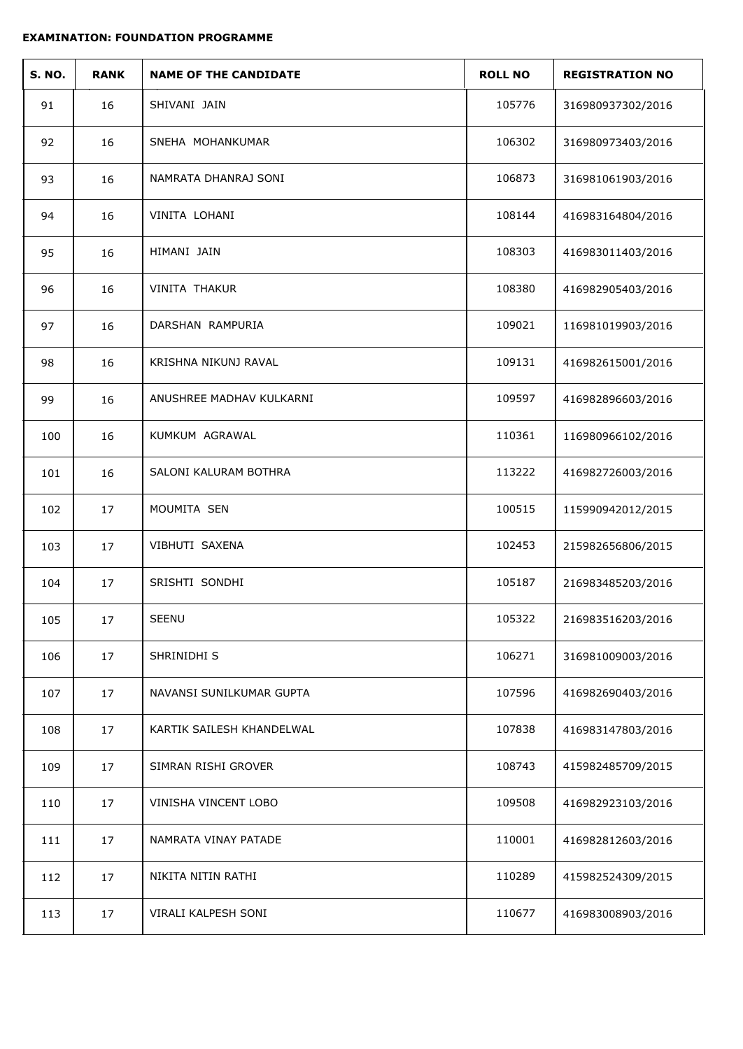| <b>S. NO.</b> | <b>RANK</b> | <b>NAME OF THE CANDIDATE</b> | <b>ROLL NO</b> | <b>REGISTRATION NO</b> |
|---------------|-------------|------------------------------|----------------|------------------------|
| 91            | 16          | SHIVANI JAIN                 | 105776         | 316980937302/2016      |
| 92            | 16          | SNEHA MOHANKUMAR             | 106302         | 316980973403/2016      |
| 93            | 16          | NAMRATA DHANRAJ SONI         | 106873         | 316981061903/2016      |
| 94            | 16          | VINITA LOHANI                | 108144         | 416983164804/2016      |
| 95            | 16          | HIMANI JAIN                  | 108303         | 416983011403/2016      |
| 96            | 16          | VINITA THAKUR                | 108380         | 416982905403/2016      |
| 97            | 16          | DARSHAN RAMPURIA             | 109021         | 116981019903/2016      |
| 98            | 16          | KRISHNA NIKUNJ RAVAL         | 109131         | 416982615001/2016      |
| 99            | 16          | ANUSHREE MADHAV KULKARNI     | 109597         | 416982896603/2016      |
| 100           | 16          | KUMKUM AGRAWAL               | 110361         | 116980966102/2016      |
| 101           | 16          | SALONI KALURAM BOTHRA        | 113222         | 416982726003/2016      |
| 102           | 17          | MOUMITA SEN                  | 100515         | 115990942012/2015      |
| 103           | 17          | VIBHUTI SAXENA               | 102453         | 215982656806/2015      |
| 104           | 17          | SRISHTI SONDHI               | 105187         | 216983485203/2016      |
| 105           | 17          | SEENU                        | 105322         | 216983516203/2016      |
| 106           | 17          | SHRINIDHI S                  | 106271         | 316981009003/2016      |
| 107           | 17          | NAVANSI SUNILKUMAR GUPTA     | 107596         | 416982690403/2016      |
| 108           | 17          | KARTIK SAILESH KHANDELWAL    | 107838         | 416983147803/2016      |
| 109           | 17          | SIMRAN RISHI GROVER          | 108743         | 415982485709/2015      |
| 110           | 17          | VINISHA VINCENT LOBO         | 109508         | 416982923103/2016      |
| 111           | 17          | NAMRATA VINAY PATADE         | 110001         | 416982812603/2016      |
| 112           | 17          | NIKITA NITIN RATHI           | 110289         | 415982524309/2015      |
| 113           | 17          | VIRALI KALPESH SONI          | 110677         | 416983008903/2016      |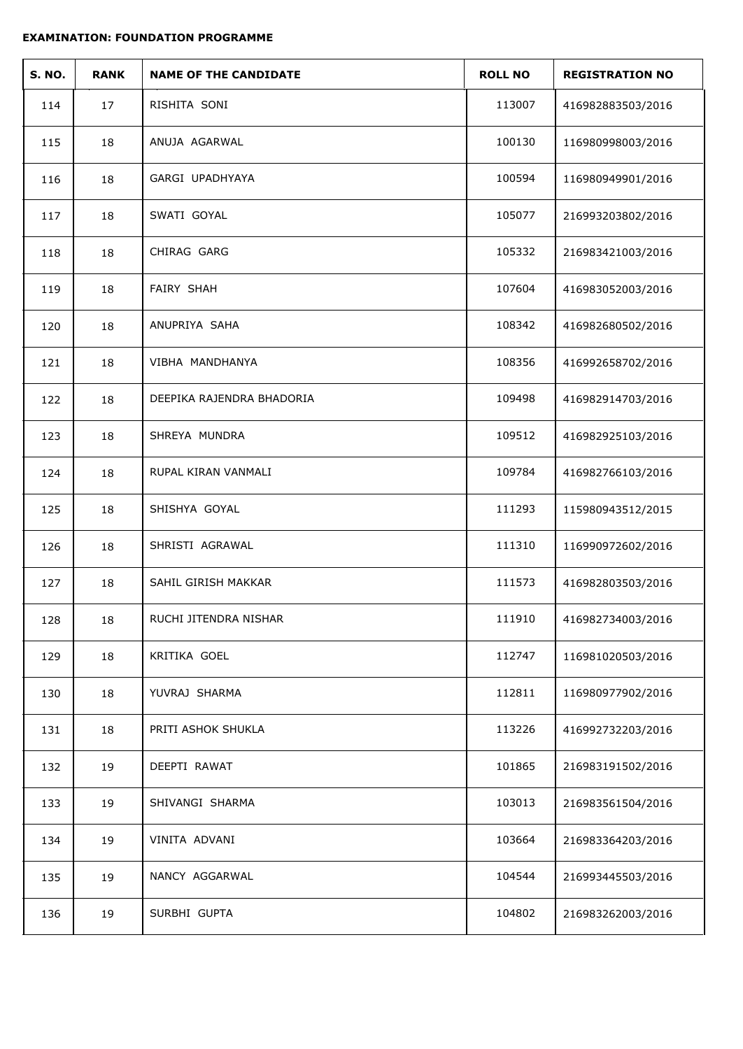| <b>S. NO.</b> | <b>RANK</b> | <b>NAME OF THE CANDIDATE</b> | <b>ROLL NO</b> | <b>REGISTRATION NO</b> |
|---------------|-------------|------------------------------|----------------|------------------------|
| 114           | 17          | RISHITA SONI                 | 113007         | 416982883503/2016      |
| 115           | 18          | ANUJA AGARWAL                | 100130         | 116980998003/2016      |
| 116           | 18          | GARGI UPADHYAYA              | 100594         | 116980949901/2016      |
| 117           | 18          | SWATI GOYAL                  | 105077         | 216993203802/2016      |
| 118           | 18          | CHIRAG GARG                  | 105332         | 216983421003/2016      |
| 119           | 18          | <b>FAIRY SHAH</b>            | 107604         | 416983052003/2016      |
| 120           | 18          | ANUPRIYA SAHA                | 108342         | 416982680502/2016      |
| 121           | 18          | VIBHA MANDHANYA              | 108356         | 416992658702/2016      |
| 122           | 18          | DEEPIKA RAJENDRA BHADORIA    | 109498         | 416982914703/2016      |
| 123           | 18          | SHREYA MUNDRA                | 109512         | 416982925103/2016      |
| 124           | 18          | RUPAL KIRAN VANMALI          | 109784         | 416982766103/2016      |
| 125           | 18          | SHISHYA GOYAL                | 111293         | 115980943512/2015      |
| 126           | 18          | SHRISTI AGRAWAL              | 111310         | 116990972602/2016      |
| 127           | 18          | SAHIL GIRISH MAKKAR          | 111573         | 416982803503/2016      |
| 128           | $18\,$      | RUCHI JITENDRA NISHAR        | 111910         | 416982734003/2016      |
| 129           | 18          | KRITIKA GOEL                 | 112747         | 116981020503/2016      |
| 130           | 18          | YUVRAJ SHARMA                | 112811         | 116980977902/2016      |
| 131           | 18          | PRITI ASHOK SHUKLA           | 113226         | 416992732203/2016      |
| 132           | 19          | DEEPTI RAWAT                 | 101865         | 216983191502/2016      |
| 133           | 19          | SHIVANGI SHARMA              | 103013         | 216983561504/2016      |
| 134           | 19          | VINITA ADVANI                | 103664         | 216983364203/2016      |
| 135           | 19          | NANCY AGGARWAL               | 104544         | 216993445503/2016      |
| 136           | 19          | SURBHI GUPTA                 | 104802         | 216983262003/2016      |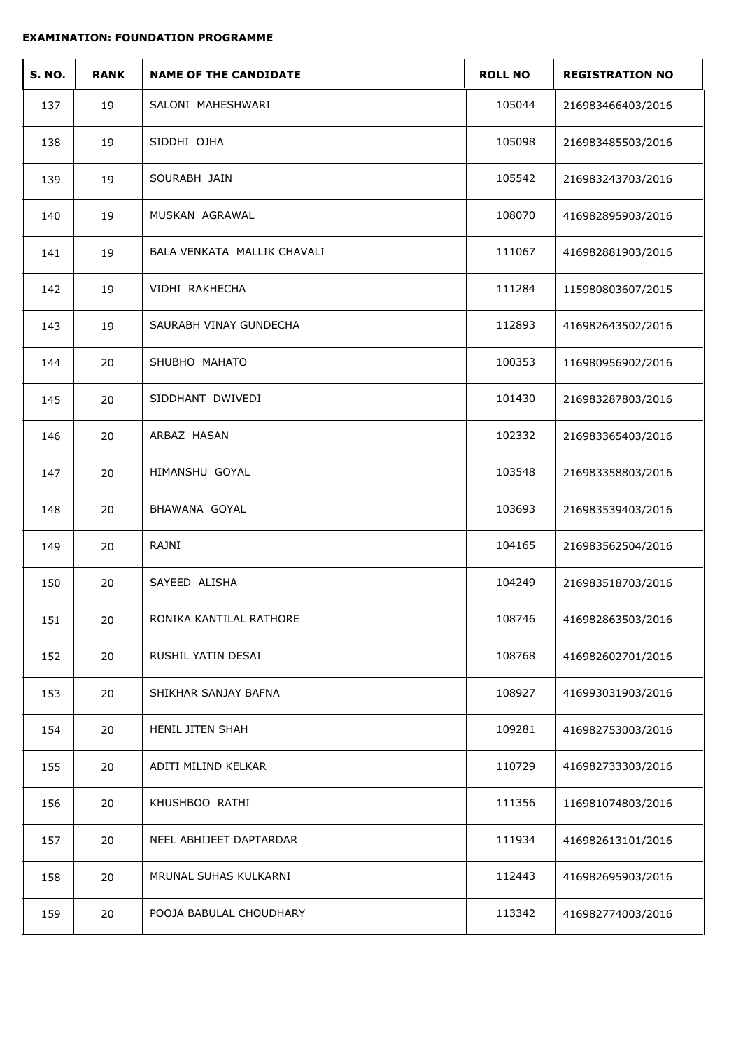| <b>S. NO.</b> | <b>RANK</b> | <b>NAME OF THE CANDIDATE</b> | <b>ROLL NO</b> | <b>REGISTRATION NO</b> |
|---------------|-------------|------------------------------|----------------|------------------------|
| 137           | 19          | SALONI MAHESHWARI            | 105044         | 216983466403/2016      |
| 138           | 19          | SIDDHI OJHA                  | 105098         | 216983485503/2016      |
| 139           | 19          | SOURABH JAIN                 | 105542         | 216983243703/2016      |
| 140           | 19          | MUSKAN AGRAWAL               | 108070         | 416982895903/2016      |
| 141           | 19          | BALA VENKATA MALLIK CHAVALI  | 111067         | 416982881903/2016      |
| 142           | 19          | VIDHI RAKHECHA               | 111284         | 115980803607/2015      |
| 143           | 19          | SAURABH VINAY GUNDECHA       | 112893         | 416982643502/2016      |
| 144           | 20          | SHUBHO MAHATO                | 100353         | 116980956902/2016      |
| 145           | 20          | SIDDHANT DWIVEDI             | 101430         | 216983287803/2016      |
| 146           | 20          | ARBAZ HASAN                  | 102332         | 216983365403/2016      |
| 147           | 20          | HIMANSHU GOYAL               | 103548         | 216983358803/2016      |
| 148           | 20          | BHAWANA GOYAL                | 103693         | 216983539403/2016      |
| 149           | 20          | RAJNI                        | 104165         | 216983562504/2016      |
| 150           | 20          | SAYEED ALISHA                | 104249         | 216983518703/2016      |
| 151           | 20          | RONIKA KANTILAL RATHORE      | 108746         | 416982863503/2016      |
| 152           | 20          | RUSHIL YATIN DESAI           | 108768         | 416982602701/2016      |
| 153           | 20          | SHIKHAR SANJAY BAFNA         | 108927         | 416993031903/2016      |
| 154           | 20          | HENIL JITEN SHAH             | 109281         | 416982753003/2016      |
| 155           | 20          | ADITI MILIND KELKAR          | 110729         | 416982733303/2016      |
| 156           | 20          | KHUSHBOO RATHI               | 111356         | 116981074803/2016      |
| 157           | 20          | NEEL ABHIJEET DAPTARDAR      | 111934         | 416982613101/2016      |
| 158           | 20          | MRUNAL SUHAS KULKARNI        | 112443         | 416982695903/2016      |
| 159           | 20          | POOJA BABULAL CHOUDHARY      | 113342         | 416982774003/2016      |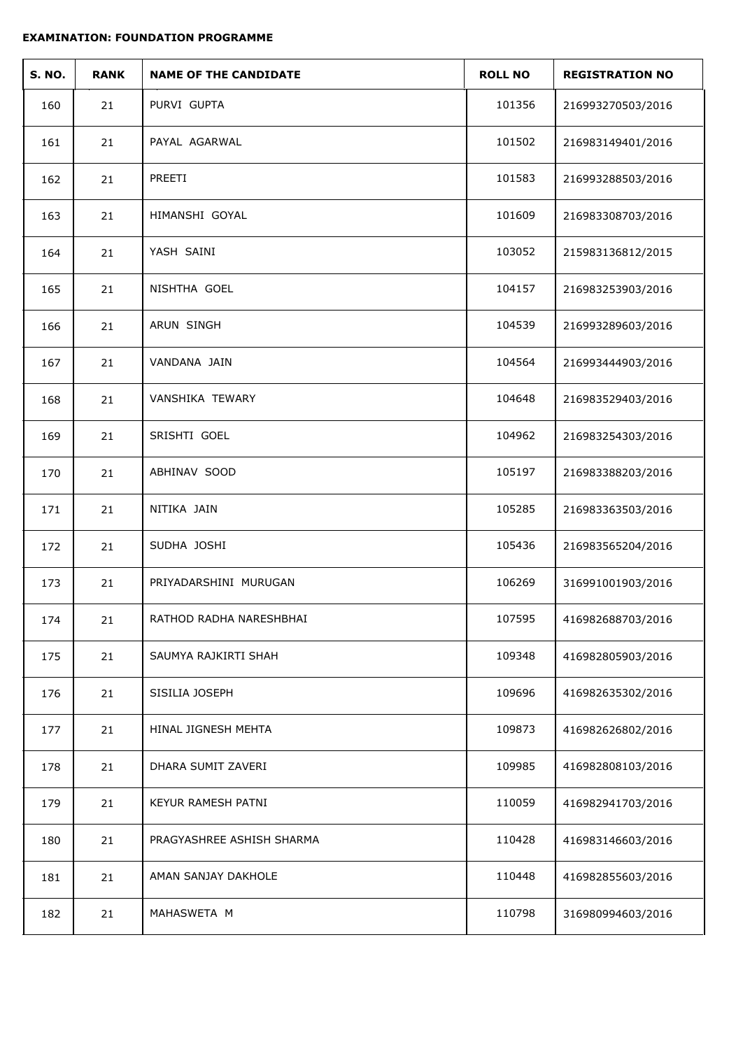| <b>S. NO.</b> | <b>RANK</b> | <b>NAME OF THE CANDIDATE</b> | <b>ROLL NO</b> | <b>REGISTRATION NO</b> |
|---------------|-------------|------------------------------|----------------|------------------------|
| 160           | 21          | PURVI GUPTA                  | 101356         | 216993270503/2016      |
| 161           | 21          | PAYAL AGARWAL                | 101502         | 216983149401/2016      |
| 162           | 21          | PREETI                       | 101583         | 216993288503/2016      |
| 163           | 21          | HIMANSHI GOYAL               | 101609         | 216983308703/2016      |
| 164           | 21          | YASH SAINI                   | 103052         | 215983136812/2015      |
| 165           | 21          | NISHTHA GOEL                 | 104157         | 216983253903/2016      |
| 166           | 21          | ARUN SINGH                   | 104539         | 216993289603/2016      |
| 167           | 21          | VANDANA JAIN                 | 104564         | 216993444903/2016      |
| 168           | 21          | <b>VANSHIKA TEWARY</b>       | 104648         | 216983529403/2016      |
| 169           | 21          | SRISHTI GOEL                 | 104962         | 216983254303/2016      |
| 170           | 21          | ABHINAV SOOD                 | 105197         | 216983388203/2016      |
| 171           | 21          | NITIKA JAIN                  | 105285         | 216983363503/2016      |
| 172           | 21          | SUDHA JOSHI                  | 105436         | 216983565204/2016      |
| 173           | 21          | PRIYADARSHINI MURUGAN        | 106269         | 316991001903/2016      |
| 174           | 21          | RATHOD RADHA NARESHBHAI      | 107595         | 416982688703/2016      |
| 175           | 21          | SAUMYA RAJKIRTI SHAH         | 109348         | 416982805903/2016      |
| 176           | 21          | SISILIA JOSEPH               | 109696         | 416982635302/2016      |
| 177           | 21          | HINAL JIGNESH MEHTA          | 109873         | 416982626802/2016      |
| 178           | 21          | DHARA SUMIT ZAVERI           | 109985         | 416982808103/2016      |
| 179           | 21          | KEYUR RAMESH PATNI           | 110059         | 416982941703/2016      |
| 180           | 21          | PRAGYASHREE ASHISH SHARMA    | 110428         | 416983146603/2016      |
| 181           | 21          | AMAN SANJAY DAKHOLE          | 110448         | 416982855603/2016      |
| 182           | 21          | MAHASWETA M                  | 110798         | 316980994603/2016      |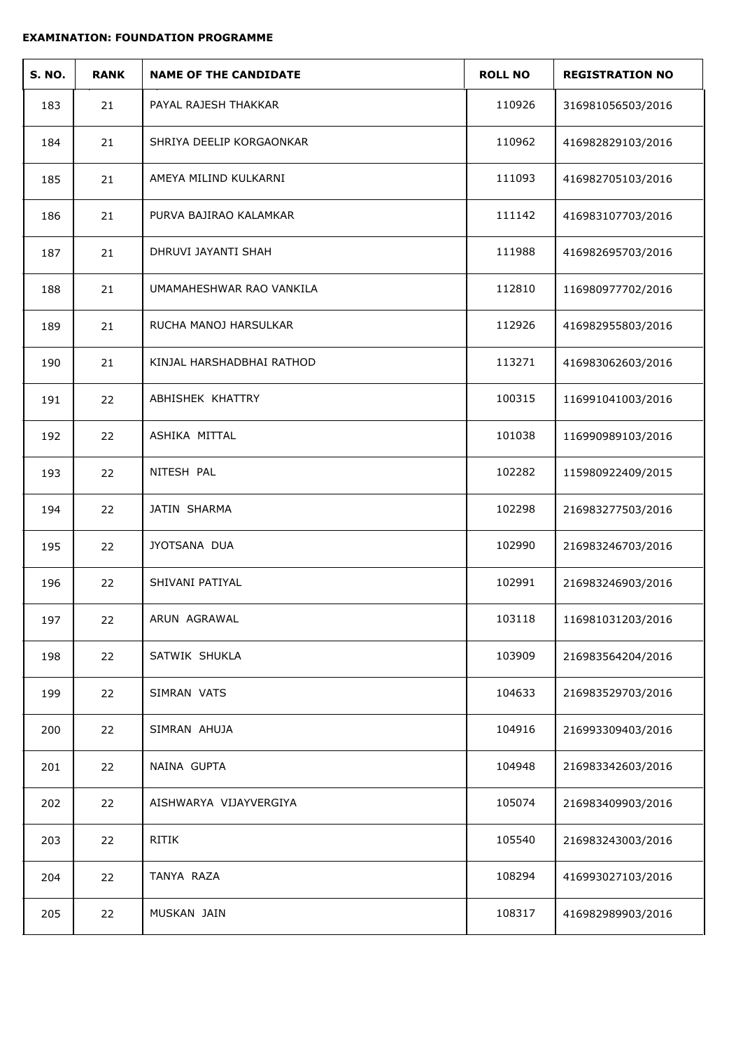| <b>S. NO.</b> | <b>RANK</b> | <b>NAME OF THE CANDIDATE</b> | <b>ROLL NO</b> | <b>REGISTRATION NO</b> |
|---------------|-------------|------------------------------|----------------|------------------------|
| 183           | 21          | PAYAL RAJESH THAKKAR         | 110926         | 316981056503/2016      |
| 184           | 21          | SHRIYA DEELIP KORGAONKAR     | 110962         | 416982829103/2016      |
| 185           | 21          | AMEYA MILIND KULKARNI        | 111093         | 416982705103/2016      |
| 186           | 21          | PURVA BAJIRAO KALAMKAR       | 111142         | 416983107703/2016      |
| 187           | 21          | DHRUVI JAYANTI SHAH          | 111988         | 416982695703/2016      |
| 188           | 21          | UMAMAHESHWAR RAO VANKILA     | 112810         | 116980977702/2016      |
| 189           | 21          | RUCHA MANOJ HARSULKAR        | 112926         | 416982955803/2016      |
| 190           | 21          | KINJAL HARSHADBHAI RATHOD    | 113271         | 416983062603/2016      |
| 191           | 22          | ABHISHEK KHATTRY             | 100315         | 116991041003/2016      |
| 192           | 22          | ASHIKA MITTAL                | 101038         | 116990989103/2016      |
| 193           | 22          | NITESH PAL                   | 102282         | 115980922409/2015      |
| 194           | 22          | JATIN SHARMA                 | 102298         | 216983277503/2016      |
| 195           | 22          | JYOTSANA DUA                 | 102990         | 216983246703/2016      |
| 196           | 22          | SHIVANI PATIYAL              | 102991         | 216983246903/2016      |
| 197           | 22          | ARUN AGRAWAL                 | 103118         | 116981031203/2016      |
| 198           | 22          | SATWIK SHUKLA                | 103909         | 216983564204/2016      |
| 199           | 22          | SIMRAN VATS                  | 104633         | 216983529703/2016      |
| 200           | 22          | SIMRAN AHUJA                 | 104916         | 216993309403/2016      |
| 201           | 22          | NAINA GUPTA                  | 104948         | 216983342603/2016      |
| 202           | 22          | AISHWARYA VIJAYVERGIYA       | 105074         | 216983409903/2016      |
| 203           | 22          | RITIK                        | 105540         | 216983243003/2016      |
| 204           | 22          | TANYA RAZA                   | 108294         | 416993027103/2016      |
| 205           | 22          | MUSKAN JAIN                  | 108317         | 416982989903/2016      |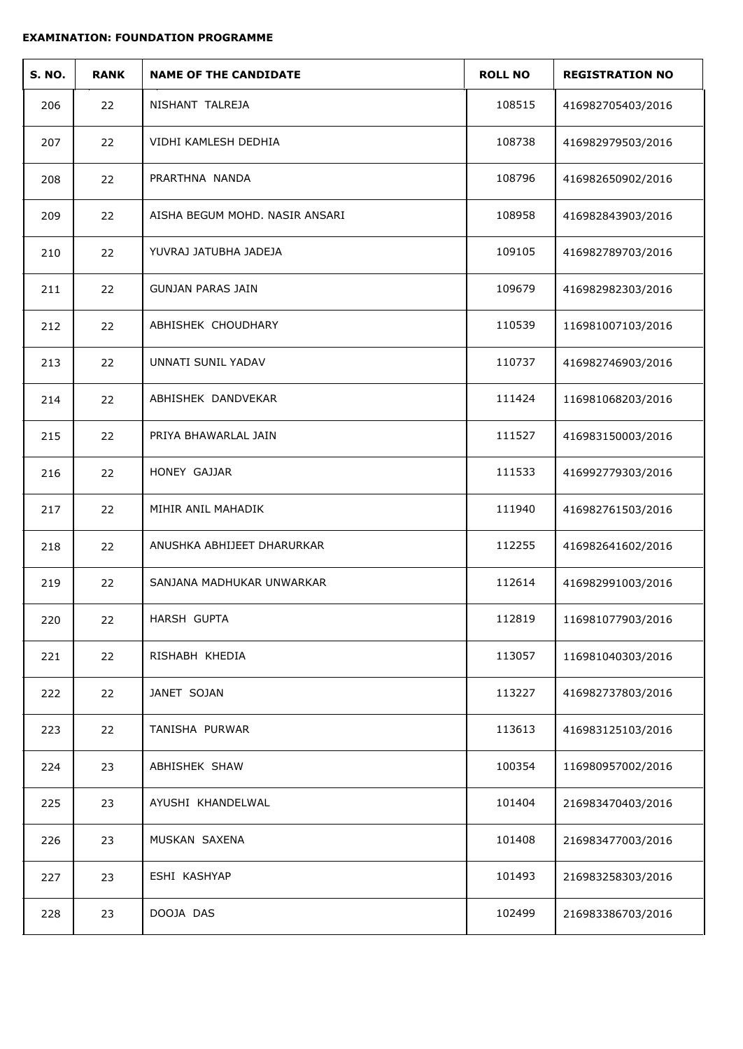| <b>S. NO.</b> | <b>RANK</b> | <b>NAME OF THE CANDIDATE</b>   | <b>ROLL NO</b> | <b>REGISTRATION NO</b> |
|---------------|-------------|--------------------------------|----------------|------------------------|
| 206           | 22          | NISHANT TALREJA                | 108515         | 416982705403/2016      |
| 207           | 22          | VIDHI KAMLESH DEDHIA           | 108738         | 416982979503/2016      |
| 208           | 22          | PRARTHNA NANDA                 | 108796         | 416982650902/2016      |
| 209           | 22          | AISHA BEGUM MOHD. NASIR ANSARI | 108958         | 416982843903/2016      |
| 210           | 22          | YUVRAJ JATUBHA JADEJA          | 109105         | 416982789703/2016      |
| 211           | 22          | <b>GUNJAN PARAS JAIN</b>       | 109679         | 416982982303/2016      |
| 212           | 22          | ABHISHEK CHOUDHARY             | 110539         | 116981007103/2016      |
| 213           | 22          | UNNATI SUNIL YADAV             | 110737         | 416982746903/2016      |
| 214           | 22          | ABHISHEK DANDVEKAR             | 111424         | 116981068203/2016      |
| 215           | 22          | PRIYA BHAWARLAL JAIN           | 111527         | 416983150003/2016      |
| 216           | 22          | HONEY GAJJAR                   | 111533         | 416992779303/2016      |
| 217           | 22          | MIHIR ANIL MAHADIK             | 111940         | 416982761503/2016      |
| 218           | 22          | ANUSHKA ABHIJEET DHARURKAR     | 112255         | 416982641602/2016      |
| 219           | 22          | SANJANA MADHUKAR UNWARKAR      | 112614         | 416982991003/2016      |
| 220           | 22          | HARSH GUPTA                    | 112819         | 116981077903/2016      |
| 221           | 22          | RISHABH KHEDIA                 | 113057         | 116981040303/2016      |
| 222           | 22          | JANET SOJAN                    | 113227         | 416982737803/2016      |
| 223           | 22          | TANISHA PURWAR                 | 113613         | 416983125103/2016      |
| 224           | 23          | ABHISHEK SHAW                  | 100354         | 116980957002/2016      |
| 225           | 23          | AYUSHI KHANDELWAL              | 101404         | 216983470403/2016      |
| 226           | 23          | MUSKAN SAXENA                  | 101408         | 216983477003/2016      |
| 227           | 23          | ESHI KASHYAP                   | 101493         | 216983258303/2016      |
| 228           | 23          | DOOJA DAS                      | 102499         | 216983386703/2016      |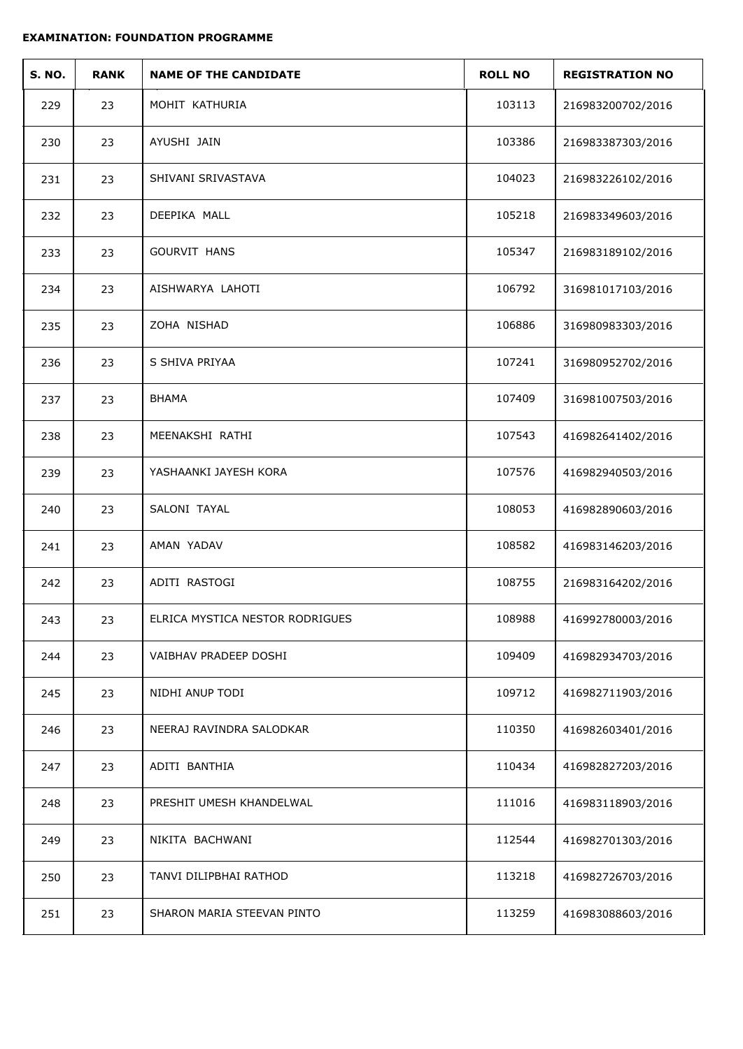| <b>S. NO.</b> | <b>RANK</b> | <b>NAME OF THE CANDIDATE</b>    | <b>ROLL NO</b> | <b>REGISTRATION NO</b> |
|---------------|-------------|---------------------------------|----------------|------------------------|
| 229           | 23          | MOHIT KATHURIA                  | 103113         | 216983200702/2016      |
| 230           | 23          | AYUSHI JAIN                     | 103386         | 216983387303/2016      |
| 231           | 23          | SHIVANI SRIVASTAVA              | 104023         | 216983226102/2016      |
| 232           | 23          | DEEPIKA MALL                    | 105218         | 216983349603/2016      |
| 233           | 23          | <b>GOURVIT HANS</b>             | 105347         | 216983189102/2016      |
| 234           | 23          | AISHWARYA LAHOTI                | 106792         | 316981017103/2016      |
| 235           | 23          | ZOHA NISHAD                     | 106886         | 316980983303/2016      |
| 236           | 23          | S SHIVA PRIYAA                  | 107241         | 316980952702/2016      |
| 237           | 23          | <b>BHAMA</b>                    | 107409         | 316981007503/2016      |
| 238           | 23          | MEENAKSHI RATHI                 | 107543         | 416982641402/2016      |
| 239           | 23          | YASHAANKI JAYESH KORA           | 107576         | 416982940503/2016      |
| 240           | 23          | SALONI TAYAL                    | 108053         | 416982890603/2016      |
| 241           | 23          | AMAN YADAV                      | 108582         | 416983146203/2016      |
| 242           | 23          | ADITI RASTOGI                   | 108755         | 216983164202/2016      |
| 243           | 23          | ELRICA MYSTICA NESTOR RODRIGUES | 108988         | 416992780003/2016      |
| 244           | 23          | VAIBHAV PRADEEP DOSHI           | 109409         | 416982934703/2016      |
| 245           | 23          | NIDHI ANUP TODI                 | 109712         | 416982711903/2016      |
| 246           | 23          | NEERAJ RAVINDRA SALODKAR        | 110350         | 416982603401/2016      |
| 247           | 23          | ADITI BANTHIA                   | 110434         | 416982827203/2016      |
| 248           | 23          | PRESHIT UMESH KHANDELWAL        | 111016         | 416983118903/2016      |
| 249           | 23          | NIKITA BACHWANI                 | 112544         | 416982701303/2016      |
| 250           | 23          | TANVI DILIPBHAI RATHOD          | 113218         | 416982726703/2016      |
| 251           | 23          | SHARON MARIA STEEVAN PINTO      | 113259         | 416983088603/2016      |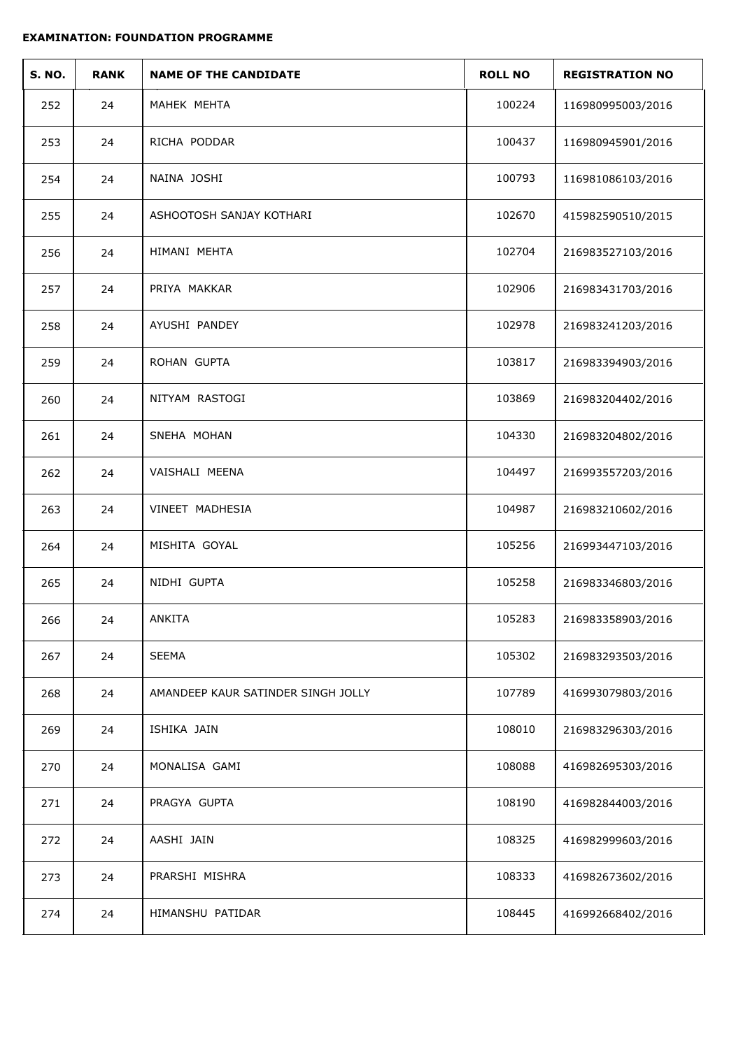| <b>S. NO.</b> | <b>RANK</b> | <b>NAME OF THE CANDIDATE</b>       | <b>ROLL NO</b> | <b>REGISTRATION NO</b> |
|---------------|-------------|------------------------------------|----------------|------------------------|
| 252           | 24          | MAHEK MEHTA                        | 100224         | 116980995003/2016      |
| 253           | 24          | RICHA PODDAR                       | 100437         | 116980945901/2016      |
| 254           | 24          | NAINA JOSHI                        | 100793         | 116981086103/2016      |
| 255           | 24          | ASHOOTOSH SANJAY KOTHARI           | 102670         | 415982590510/2015      |
| 256           | 24          | HIMANI MEHTA                       | 102704         | 216983527103/2016      |
| 257           | 24          | PRIYA MAKKAR                       | 102906         | 216983431703/2016      |
| 258           | 24          | AYUSHI PANDEY                      | 102978         | 216983241203/2016      |
| 259           | 24          | ROHAN GUPTA                        | 103817         | 216983394903/2016      |
| 260           | 24          | NITYAM RASTOGI                     | 103869         | 216983204402/2016      |
| 261           | 24          | SNEHA MOHAN                        | 104330         | 216983204802/2016      |
| 262           | 24          | VAISHALI MEENA                     | 104497         | 216993557203/2016      |
| 263           | 24          | VINEET MADHESIA                    | 104987         | 216983210602/2016      |
| 264           | 24          | MISHITA GOYAL                      | 105256         | 216993447103/2016      |
| 265           | 24          | NIDHI GUPTA                        | 105258         | 216983346803/2016      |
| 266           | 24          | ANKITA                             | 105283         | 216983358903/2016      |
| 267           | 24          | SEEMA                              | 105302         | 216983293503/2016      |
| 268           | 24          | AMANDEEP KAUR SATINDER SINGH JOLLY | 107789         | 416993079803/2016      |
| 269           | 24          | ISHIKA JAIN                        | 108010         | 216983296303/2016      |
| 270           | 24          | MONALISA GAMI                      | 108088         | 416982695303/2016      |
| 271           | 24          | PRAGYA GUPTA                       | 108190         | 416982844003/2016      |
| 272           | 24          | AASHI JAIN                         | 108325         | 416982999603/2016      |
| 273           | 24          | PRARSHI MISHRA                     | 108333         | 416982673602/2016      |
| 274           | 24          | HIMANSHU PATIDAR                   | 108445         | 416992668402/2016      |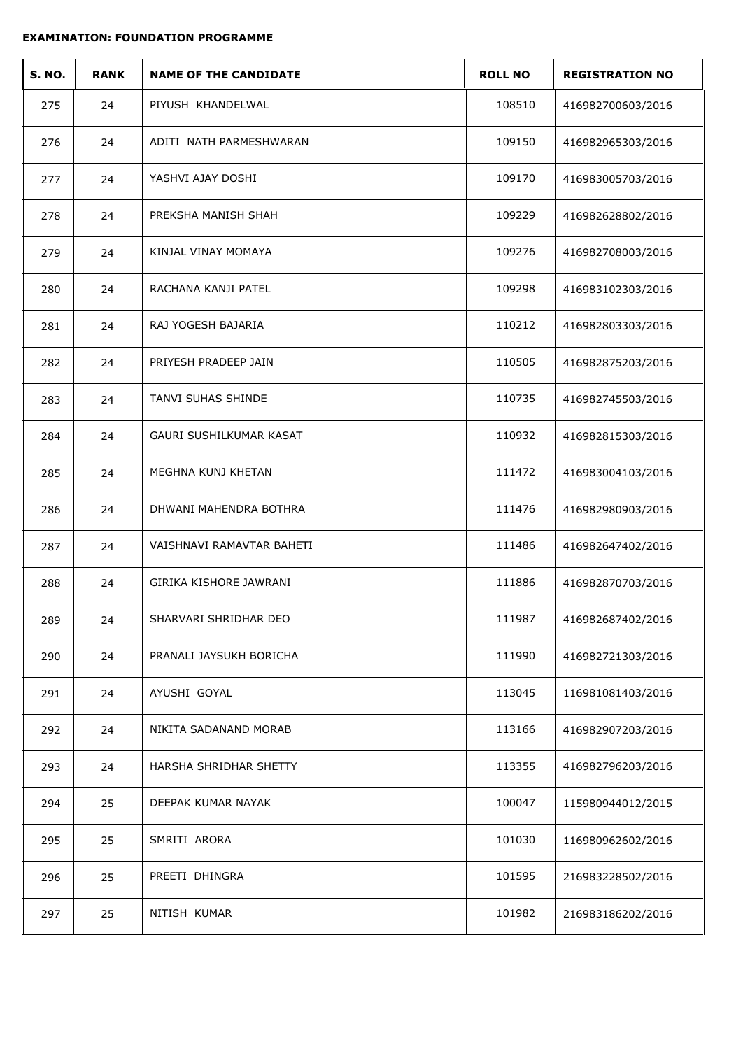| <b>S. NO.</b> | <b>RANK</b> | <b>NAME OF THE CANDIDATE</b> | <b>ROLL NO</b> | <b>REGISTRATION NO</b> |
|---------------|-------------|------------------------------|----------------|------------------------|
| 275           | 24          | PIYUSH KHANDELWAL            | 108510         | 416982700603/2016      |
| 276           | 24          | ADITI NATH PARMESHWARAN      | 109150         | 416982965303/2016      |
| 277           | 24          | YASHVI AJAY DOSHI            | 109170         | 416983005703/2016      |
| 278           | 24          | PREKSHA MANISH SHAH          | 109229         | 416982628802/2016      |
| 279           | 24          | KINJAL VINAY MOMAYA          | 109276         | 416982708003/2016      |
| 280           | 24          | RACHANA KANJI PATEL          | 109298         | 416983102303/2016      |
| 281           | 24          | RAJ YOGESH BAJARIA           | 110212         | 416982803303/2016      |
| 282           | 24          | PRIYESH PRADEEP JAIN         | 110505         | 416982875203/2016      |
| 283           | 24          | TANVI SUHAS SHINDE           | 110735         | 416982745503/2016      |
| 284           | 24          | GAURI SUSHILKUMAR KASAT      | 110932         | 416982815303/2016      |
| 285           | 24          | MEGHNA KUNJ KHETAN           | 111472         | 416983004103/2016      |
| 286           | 24          | DHWANI MAHENDRA BOTHRA       | 111476         | 416982980903/2016      |
| 287           | 24          | VAISHNAVI RAMAVTAR BAHETI    | 111486         | 416982647402/2016      |
| 288           | 24          | GIRIKA KISHORE JAWRANI       | 111886         | 416982870703/2016      |
| 289           | 24          | SHARVARI SHRIDHAR DEO        | 111987         | 416982687402/2016      |
| 290           | 24          | PRANALI JAYSUKH BORICHA      | 111990         | 416982721303/2016      |
| 291           | 24          | AYUSHI GOYAL                 | 113045         | 116981081403/2016      |
| 292           | 24          | NIKITA SADANAND MORAB        | 113166         | 416982907203/2016      |
| 293           | 24          | HARSHA SHRIDHAR SHETTY       | 113355         | 416982796203/2016      |
| 294           | 25          | DEEPAK KUMAR NAYAK           | 100047         | 115980944012/2015      |
| 295           | 25          | SMRITI ARORA                 | 101030         | 116980962602/2016      |
| 296           | 25          | PREETI DHINGRA               | 101595         | 216983228502/2016      |
| 297           | 25          | NITISH KUMAR                 | 101982         | 216983186202/2016      |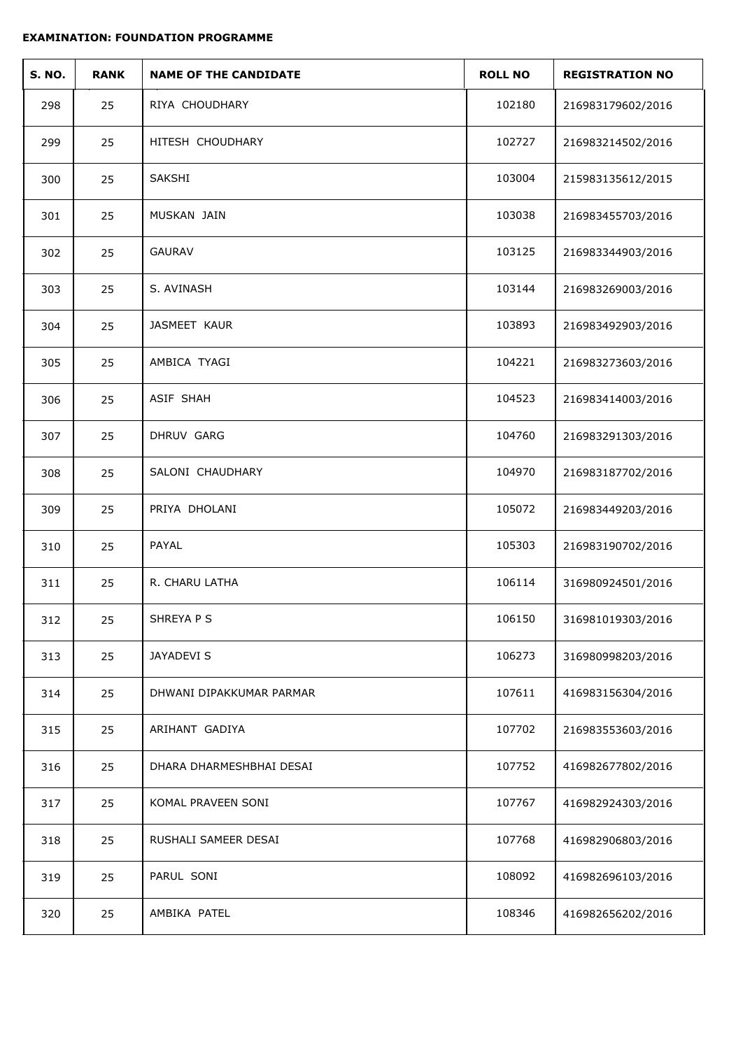| <b>S. NO.</b> | <b>RANK</b> | <b>NAME OF THE CANDIDATE</b> | <b>ROLL NO</b> | <b>REGISTRATION NO</b> |
|---------------|-------------|------------------------------|----------------|------------------------|
| 298           | 25          | RIYA CHOUDHARY               | 102180         | 216983179602/2016      |
| 299           | 25          | HITESH CHOUDHARY             | 102727         | 216983214502/2016      |
| 300           | 25          | SAKSHI                       | 103004         | 215983135612/2015      |
| 301           | 25          | MUSKAN JAIN                  | 103038         | 216983455703/2016      |
| 302           | 25          | <b>GAURAV</b>                | 103125         | 216983344903/2016      |
| 303           | 25          | S. AVINASH                   | 103144         | 216983269003/2016      |
| 304           | 25          | JASMEET KAUR                 | 103893         | 216983492903/2016      |
| 305           | 25          | AMBICA TYAGI                 | 104221         | 216983273603/2016      |
| 306           | 25          | ASIF SHAH                    | 104523         | 216983414003/2016      |
| 307           | 25          | DHRUV GARG                   | 104760         | 216983291303/2016      |
| 308           | 25          | SALONI CHAUDHARY             | 104970         | 216983187702/2016      |
| 309           | 25          | PRIYA DHOLANI                | 105072         | 216983449203/2016      |
| 310           | 25          | PAYAL                        | 105303         | 216983190702/2016      |
| 311           | 25          | R. CHARU LATHA               | 106114         | 316980924501/2016      |
| 312           | 25          | SHREYA P S                   | 106150         | 316981019303/2016      |
| 313           | 25          | JAYADEVI S                   | 106273         | 316980998203/2016      |
| 314           | 25          | DHWANI DIPAKKUMAR PARMAR     | 107611         | 416983156304/2016      |
| 315           | 25          | ARIHANT GADIYA               | 107702         | 216983553603/2016      |
| 316           | 25          | DHARA DHARMESHBHAI DESAI     | 107752         | 416982677802/2016      |
| 317           | 25          | KOMAL PRAVEEN SONI           | 107767         | 416982924303/2016      |
| 318           | 25          | RUSHALI SAMEER DESAI         | 107768         | 416982906803/2016      |
| 319           | 25          | PARUL SONI                   | 108092         | 416982696103/2016      |
| 320           | 25          | AMBIKA PATEL                 | 108346         | 416982656202/2016      |